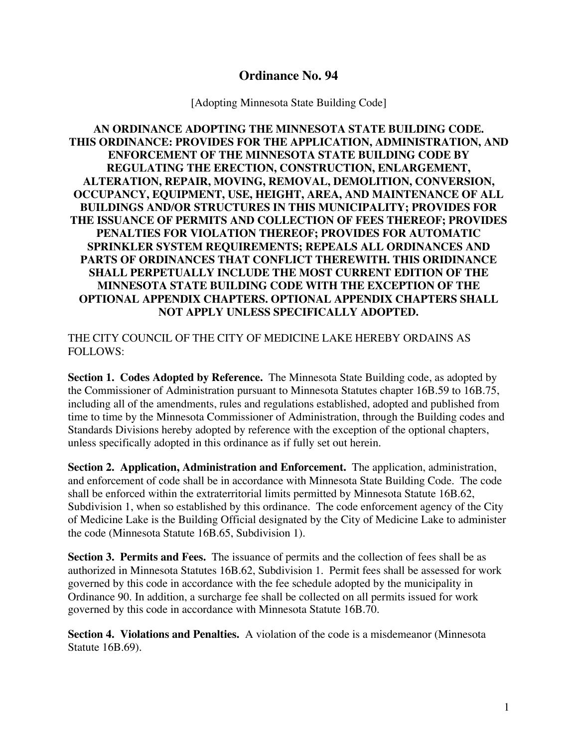## **Ordinance No. 94**

[Adopting Minnesota State Building Code]

**AN ORDINANCE ADOPTING THE MINNESOTA STATE BUILDING CODE. THIS ORDINANCE: PROVIDES FOR THE APPLICATION, ADMINISTRATION, AND ENFORCEMENT OF THE MINNESOTA STATE BUILDING CODE BY REGULATING THE ERECTION, CONSTRUCTION, ENLARGEMENT, ALTERATION, REPAIR, MOVING, REMOVAL, DEMOLITION, CONVERSION, OCCUPANCY, EQUIPMENT, USE, HEIGHT, AREA, AND MAINTENANCE OF ALL BUILDINGS AND/OR STRUCTURES IN THIS MUNICIPALITY; PROVIDES FOR THE ISSUANCE OF PERMITS AND COLLECTION OF FEES THEREOF; PROVIDES PENALTIES FOR VIOLATION THEREOF; PROVIDES FOR AUTOMATIC SPRINKLER SYSTEM REQUIREMENTS; REPEALS ALL ORDINANCES AND PARTS OF ORDINANCES THAT CONFLICT THEREWITH. THIS ORIDINANCE SHALL PERPETUALLY INCLUDE THE MOST CURRENT EDITION OF THE MINNESOTA STATE BUILDING CODE WITH THE EXCEPTION OF THE OPTIONAL APPENDIX CHAPTERS. OPTIONAL APPENDIX CHAPTERS SHALL NOT APPLY UNLESS SPECIFICALLY ADOPTED.**

THE CITY COUNCIL OF THE CITY OF MEDICINE LAKE HEREBY ORDAINS AS FOLLOWS:

**Section 1. Codes Adopted by Reference.** The Minnesota State Building code, as adopted by the Commissioner of Administration pursuant to Minnesota Statutes chapter 16B.59 to 16B.75, including all of the amendments, rules and regulations established, adopted and published from time to time by the Minnesota Commissioner of Administration, through the Building codes and Standards Divisions hereby adopted by reference with the exception of the optional chapters, unless specifically adopted in this ordinance as if fully set out herein.

**Section 2. Application, Administration and Enforcement.** The application, administration, and enforcement of code shall be in accordance with Minnesota State Building Code. The code shall be enforced within the extraterritorial limits permitted by Minnesota Statute 16B.62, Subdivision 1, when so established by this ordinance. The code enforcement agency of the City of Medicine Lake is the Building Official designated by the City of Medicine Lake to administer the code (Minnesota Statute 16B.65, Subdivision 1).

**Section 3. Permits and Fees.** The issuance of permits and the collection of fees shall be as authorized in Minnesota Statutes 16B.62, Subdivision 1. Permit fees shall be assessed for work governed by this code in accordance with the fee schedule adopted by the municipality in Ordinance 90. In addition, a surcharge fee shall be collected on all permits issued for work governed by this code in accordance with Minnesota Statute 16B.70.

**Section 4. Violations and Penalties.** A violation of the code is a misdemeanor (Minnesota Statute 16B.69).